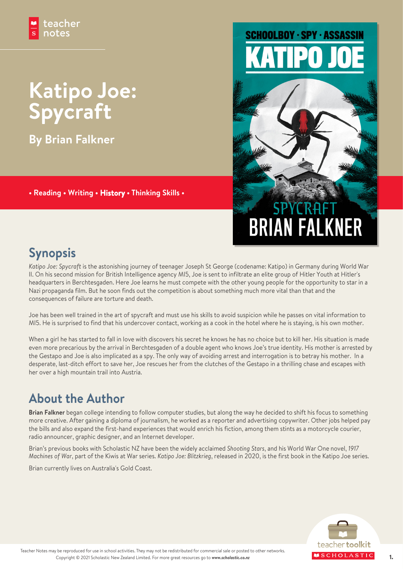## **Katipo Joe: Spycraft**

**By Brian Falkner**

teacher notes

**• Reading • Writing • History • Thinking Skills •**

# **SCHOOLBOY · SPY · ASSASSIN**



## **Synopsis**

*Katipo Joe: Spycraft* is the astonishing journey of teenager Joseph St George (codename: Katipo) in Germany during World War II. On his second mission for British Intelligence agency MI5, Joe is sent to infiltrate an elite group of Hitler Youth at Hitler's headquarters in Berchtesgaden. Here Joe learns he must compete with the other young people for the opportunity to star in a Nazi propaganda film. But he soon finds out the competition is about something much more vital than that and the consequences of failure are torture and death.

Joe has been well trained in the art of spycraft and must use his skills to avoid suspicion while he passes on vital information to MI5. He is surprised to find that his undercover contact, working as a cook in the hotel where he is staying, is his own mother.

When a girl he has started to fall in love with discovers his secret he knows he has no choice but to kill her. His situation is made even more precarious by the arrival in Berchtesgaden of a double agent who knows Joe's true identity. His mother is arrested by the Gestapo and Joe is also implicated as a spy. The only way of avoiding arrest and interrogation is to betray his mother. In a desperate, last-ditch effort to save her, Joe rescues her from the clutches of the Gestapo in a thrilling chase and escapes with her over a high mountain trail into Austria.

## **About the Author**

**Brian Falkner** began college intending to follow computer studies, but along the way he decided to shift his focus to something more creative. After gaining a diploma of journalism, he worked as a reporter and advertising copywriter. Other jobs helped pay the bills and also expand the first-hand experiences that would enrich his fiction, among them stints as a motorcycle courier, radio announcer, graphic designer, and an Internet developer.

Brian's previous books with Scholastic NZ have been the widely acclaimed *Shooting Stars*, and his World War One novel, *1917 Machines of War*, part of the Kiwis at War series. *Katipo Joe: Blitzkrieg*, released in 2020, is the first book in the Katipo Joe series.

Brian currently lives on Australia's Gold Coast.

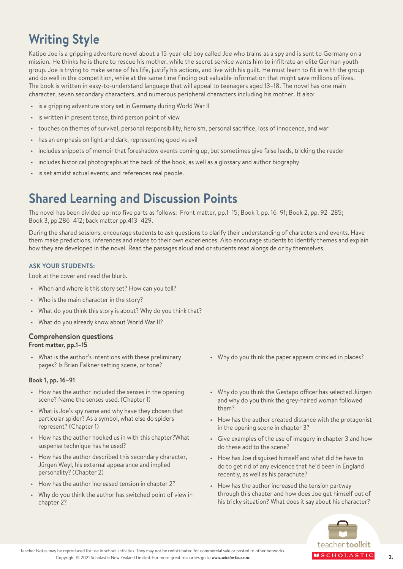## **Writing Style**

Katipo Joe is a gripping adventure novel about a 15-year-old boy called Joe who trains as a spy and is sent to Germany on a mission. He thinks he is there to rescue his mother, while the secret service wants him to infiltrate an elite German youth group. Joe is trying to make sense of his life, justify his actions, and live with his guilt. He must learn to fit in with the group and do well in the competition, while at the same time finding out valuable information that might save millions of lives. The book is written in easy-to-understand language that will appeal to teenagers aged 13–18. The novel has one main character, seven secondary characters, and numerous peripheral characters including his mother. It also:

- is a gripping adventure story set in Germany during World War II
- is written in present tense, third person point of view
- touches on themes of survival, personal responsibility, heroism, personal sacrifice, loss of innocence, and war
- has an emphasis on light and dark, representing good vs evil
- includes snippets of memoir that foreshadow events coming up, but sometimes give false leads, tricking the reader
- includes historical photographs at the back of the book, as well as a glossary and author biography
- is set amidst actual events, and references real people.

### **Shared Learning and Discussion Points**

The novel has been divided up into five parts as follows: Front matter, pp.1–15; Book 1, pp. 16–91; Book 2, pp. 92–285; Book 3, pp.286–412; back matter pp.413–429.

During the shared sessions, encourage students to ask questions to clarify their understanding of characters and events. Have them make predictions, inferences and relate to their own experiences. Also encourage students to identify themes and explain how they are developed in the novel. Read the passages aloud and or students read alongside or by themselves.

#### **ASK YOUR STUDENTS:**

Look at the cover and read the blurb.

- When and where is this story set? How can you tell?
- Who is the main character in the story?
- What do you think this story is about? Why do you think that?
- What do you already know about World War II?

#### **Comprehension questions Front matter, pp.1–15**

• What is the author's intentions with these preliminary pages? Is Brian Falkner setting scene, or tone?

#### **Book 1, pp. 16–91**

- How has the author included the senses in the opening scene? Name the senses used. (Chapter 1)
- What is Joe's spy name and why have they chosen that particular spider? As a symbol, what else do spiders represent? (Chapter 1)
- How has the author hooked us in with this chapter?What suspense technique has he used?
- How has the author described this secondary character, Jürgen Weyl, his external appearance and implied personality? (Chapter 2)
- How has the author increased tension in chapter 2?
- Why do you think the author has switched point of view in chapter 2?
- Why do you think the paper appears crinkled in places?
- Why do you think the Gestapo officer has selected Jürgen and why do you think the grey-haired woman followed them?
- How has the author created distance with the protagonist in the opening scene in chapter 3?
- Give examples of the use of imagery in chapter 3 and how do these add to the scene?
- How has Joe disguised himself and what did he have to do to get rid of any evidence that he'd been in England recently, as well as his parachute?
- How has the author increased the tension partway through this chapter and how does Joe get himself out of his tricky situation? What does it say about his character?



Teacher Notes may be reproduced for use in school activities. They may not be redistributed for commercial sale or posted to other networks. Copyright © 2021 Scholastic New Zealand Limited. For more great resources go to *www.scholastic.co.nz* 2.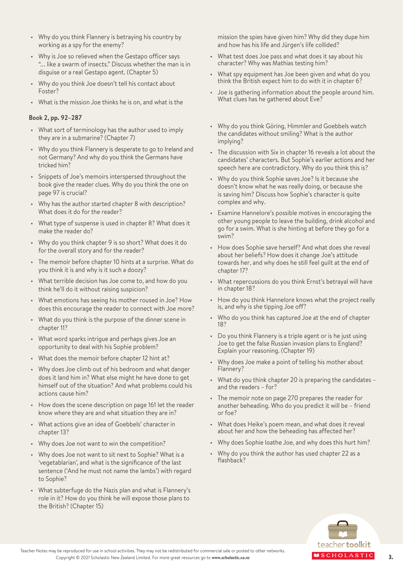- Why do you think Flannery is betraying his country by working as a spy for the enemy?
- Why is Joe so relieved when the Gestapo officer says "... like a swarm of insects." Discuss whether the man is in disguise or a real Gestapo agent. (Chapter 5)
- Why do you think Joe doesn't tell his contact about Foster?
- What is the mission Joe thinks he is on, and what is the

#### **Book 2, pp. 92–287**

- What sort of terminology has the author used to imply they are in a submarine? (Chapter 7)
- Why do you think Flannery is desperate to go to Ireland and not Germany? And why do you think the Germans have tricked him?
- Snippets of Joe's memoirs interspersed throughout the book give the reader clues. Why do you think the one on page 97 is crucial?
- Why has the author started chapter 8 with description? What does it do for the reader?
- What type of suspense is used in chapter 8? What does it make the reader do?
- Why do you think chapter 9 is so short? What does it do for the overall story and for the reader?
- The memoir before chapter 10 hints at a surprise. What do you think it is and why is it such a doozy?
- What terrible decision has Joe come to, and how do you think he'll do it without raising suspicion?
- What emotions has seeing his mother roused in Joe? How does this encourage the reader to connect with Joe more?
- What do you think is the purpose of the dinner scene in chapter 11?
- What word sparks intrigue and perhaps gives Joe an opportunity to deal with his Sophie problem?
- What does the memoir before chapter 12 hint at?
- Why does Joe climb out of his bedroom and what danger does it land him in? What else might he have done to get himself out of the situation? And what problems could his actions cause him?
- How does the scene description on page 161 let the reader know where they are and what situation they are in?
- What actions give an idea of Goebbels' character in chapter 13?
- Why does Joe not want to win the competition?
- Why does Joe not want to sit next to Sophie? What is a 'vegetablarian', and what is the significance of the last sentence ('And he must not name the lambs') with regard to Sophie?
- What subterfuge do the Nazis plan and what is Flannery's role in it? How do you think he will expose those plans to the British? (Chapter 15)

mission the spies have given him? Why did they dupe him and how has his life and Jürgen's life collided?

- What test does Joe pass and what does it say about his character? Why was Mathias testing him?
- What spy equipment has Joe been given and what do you think the British expect him to do with it in chapter 6?
- Joe is gathering information about the people around him. What clues has he gathered about Eve?
- Why do you think Göring, Himmler and Goebbels watch the candidates without smiling? What is the author implying?
- The discussion with Six in chapter 16 reveals a lot about the candidates' characters. But Sophie's earlier actions and her speech here are contradictory. Why do you think this is?
- Why do you think Sophie saves Joe? Is it because she doesn't know what he was really doing, or because she is saving him? Discuss how Sophie's character is quite complex and why.
- Examine Hannelore's possible motives in encouraging the other young people to leave the building, drink alcohol and go for a swim. What is she hinting at before they go for a swim?
- How does Sophie save herself? And what does she reveal about her beliefs? How does it change Joe's attitude towards her, and why does he still feel guilt at the end of chapter 17?
- What repercussions do you think Ernst's betrayal will have in chapter 18?
- How do you think Hannelore knows what the project really is, and why is she tipping Joe off?
- Who do you think has captured Joe at the end of chapter 18?
- Do you think Flannery is a triple agent or is he just using Joe to get the false Russian invasion plans to England? Explain your reasoning. (Chapter 19)
- Why does Joe make a point of telling his mother about Flannery?
- What do you think chapter 20 is preparing the candidates and the readers – for?
- The memoir note on page 270 prepares the reader for another beheading. Who do you predict it will be – friend or foe?
- What does Heike's poem mean, and what does it reveal about her and how the beheading has affected her?
- Why does Sophie loathe Joe, and why does this hurt him?
- Why do you think the author has used chapter 22 as a flashback?



Teacher Notes may be reproduced for use in school activities. They may not be redistributed for commercial sale or posted to other networks. Copyright © 2021 Scholastic New Zealand Limited. For more great resources go to *www.scholastic.co.nz* 3. **4 S C H O L A S T I C**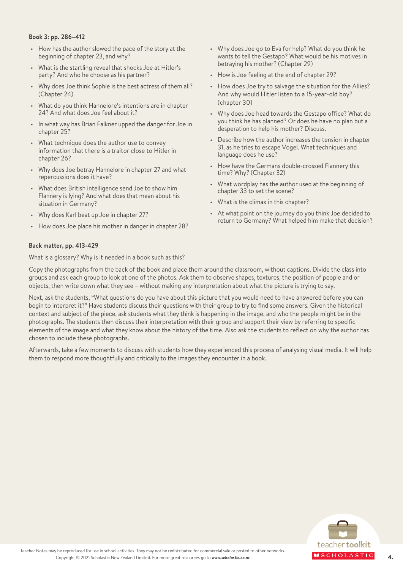#### **Book 3: pp. 286–412**

- How has the author slowed the pace of the story at the beginning of chapter 23, and why?
- What is the startling reveal that shocks Joe at Hitler's party? And who he choose as his partner?
- Why does Joe think Sophie is the best actress of them all? (Chapter 24)
- What do you think Hannelore's intentions are in chapter 24? And what does Joe feel about it?
- In what way has Brian Falkner upped the danger for Joe in chapter 25?
- What technique does the author use to convey information that there is a traitor close to Hitler in chapter 26?
- Why does Joe betray Hannelore in chapter 27 and what repercussions does it have?
- What does British intelligence send Joe to show him Flannery is lying? And what does that mean about his situation in Germany?
- Why does Karl beat up Joe in chapter 27?
- How does Joe place his mother in danger in chapter 28?
- Why does Joe go to Eva for help? What do you think he wants to tell the Gestapo? What would be his motives in betraying his mother? (Chapter 29)
- How is Joe feeling at the end of chapter 29?
- How does Joe try to salvage the situation for the Allies? And why would Hitler listen to a 15-year-old boy? (chapter 30)
- Why does Joe head towards the Gestapo office? What do you think he has planned? Or does he have no plan but a desperation to help his mother? Discuss.
- Describe how the author increases the tension in chapter 31, as he tries to escape Vogel. What techniques and language does he use?
- How have the Germans double-crossed Flannery this time? Why? (Chapter 32)
- What wordplay has the author used at the beginning of chapter 33 to set the scene?
- What is the climax in this chapter?
- At what point on the journey do you think Joe decided to return to Germany? What helped him make that decision?

#### **Back matter, pp. 413-429**

What is a glossary? Why is it needed in a book such as this?

Copy the photographs from the back of the book and place them around the classroom, without captions. Divide the class into groups and ask each group to look at one of the photos. Ask them to observe shapes, textures, the position of people and or objects, then write down what they see – without making any interpretation about what the picture is trying to say.

Next, ask the students, "What questions do you have about this picture that you would need to have answered before you can begin to interpret it?" Have students discuss their questions with their group to try to find some answers. Given the historical context and subject of the piece, ask students what they think is happening in the image, and who the people might be in the photographs. The students then discuss their interpretation with their group and support their view by referring to specific elements of the image and what they know about the history of the time. Also ask the students to reflect on why the author has chosen to include these photographs.

Afterwards, take a few moments to discuss with students how they experienced this process of analysing visual media. It will help them to respond more thoughtfully and critically to the images they encounter in a book.

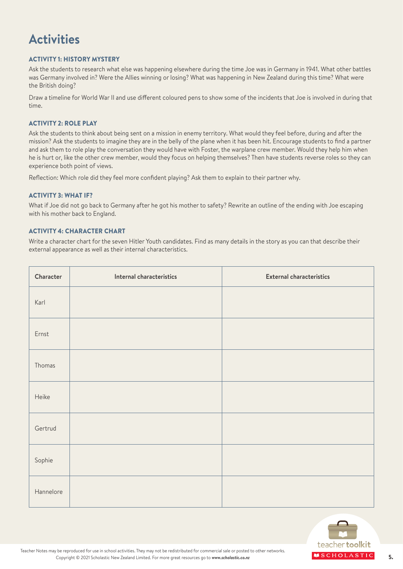## **Activities**

#### ACTIVITY 1: HISTORY MYSTERY

Ask the students to research what else was happening elsewhere during the time Joe was in Germany in 1941. What other battles was Germany involved in? Were the Allies winning or losing? What was happening in New Zealand during this time? What were the British doing?

Draw a timeline for World War II and use different coloured pens to show some of the incidents that Joe is involved in during that time.

#### ACTIVITY 2: ROLE PLAY

Ask the students to think about being sent on a mission in enemy territory. What would they feel before, during and after the mission? Ask the students to imagine they are in the belly of the plane when it has been hit. Encourage students to find a partner and ask them to role play the conversation they would have with Foster, the warplane crew member. Would they help him when he is hurt or, like the other crew member, would they focus on helping themselves? Then have students reverse roles so they can experience both point of views.

Reflection: Which role did they feel more confident playing? Ask them to explain to their partner why.

#### ACTIVITY 3: WHAT IF?

What if Joe did not go back to Germany after he got his mother to safety? Rewrite an outline of the ending with Joe escaping with his mother back to England.

#### ACTIVITY 4: CHARACTER CHART

Write a character chart for the seven Hitler Youth candidates. Find as many details in the story as you can that describe their external appearance as well as their internal characteristics.

| Character | Internal characteristics | <b>External characteristics</b> |
|-----------|--------------------------|---------------------------------|
| Karl      |                          |                                 |
| Ernst     |                          |                                 |
| Thomas    |                          |                                 |
| Heike     |                          |                                 |
| Gertrud   |                          |                                 |
| Sophie    |                          |                                 |
| Hannelore |                          |                                 |

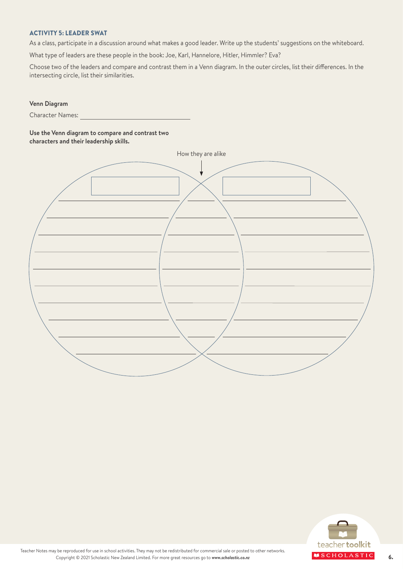#### ACTIVITY 5: LEADER SWAT

As a class, participate in a discussion around what makes a good leader. Write up the students' suggestions on the whiteboard.

What type of leaders are these people in the book: Joe, Karl, Hannelore, Hitler, Himmler? Eva?

Choose two of the leaders and compare and contrast them in a Venn diagram. In the outer circles, list their differences. In the intersecting circle, list their similarities.

#### **Venn Diagram**

Character Names:

#### **Use the Venn diagram to compare and contrast two characters and their leadership skills.**

| How they are alike |  |
|--------------------|--|
|                    |  |
|                    |  |
|                    |  |
|                    |  |
|                    |  |